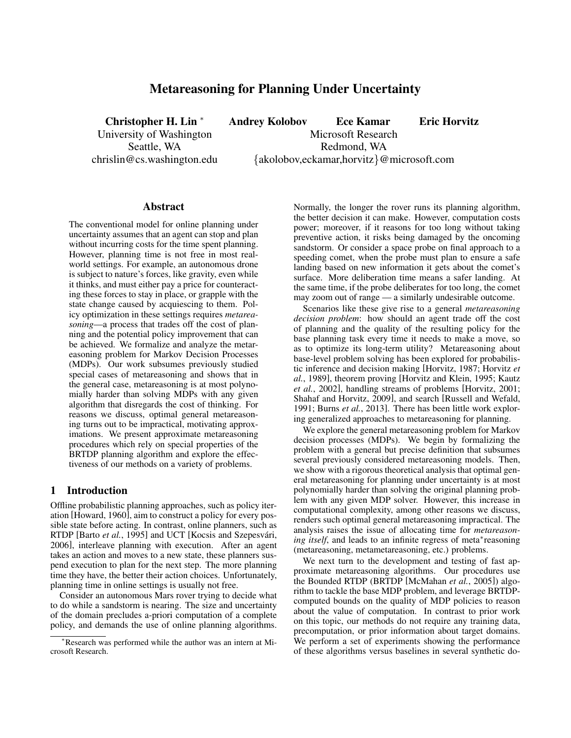# Metareasoning for Planning Under Uncertainty

Christopher H. Lin <sup>∗</sup> Andrey Kolobov Ece Kamar Eric Horvitz University of Washington Microsoft Research Seattle, WA Redmond, WA chrislin@cs.washington.edu {akolobov,eckamar,horvitz}@microsoft.com

#### Abstract

The conventional model for online planning under uncertainty assumes that an agent can stop and plan without incurring costs for the time spent planning. However, planning time is not free in most realworld settings. For example, an autonomous drone is subject to nature's forces, like gravity, even while it thinks, and must either pay a price for counteracting these forces to stay in place, or grapple with the state change caused by acquiescing to them. Policy optimization in these settings requires *metareasoning*—a process that trades off the cost of planning and the potential policy improvement that can be achieved. We formalize and analyze the metareasoning problem for Markov Decision Processes (MDPs). Our work subsumes previously studied special cases of metareasoning and shows that in the general case, metareasoning is at most polynomially harder than solving MDPs with any given algorithm that disregards the cost of thinking. For reasons we discuss, optimal general metareasoning turns out to be impractical, motivating approximations. We present approximate metareasoning procedures which rely on special properties of the BRTDP planning algorithm and explore the effectiveness of our methods on a variety of problems.

### 1 Introduction

Offline probabilistic planning approaches, such as policy iteration [Howard, 1960], aim to construct a policy for every possible state before acting. In contrast, online planners, such as RTDP [Barto et al., 1995] and UCT [Kocsis and Szepesvári, 2006], interleave planning with execution. After an agent takes an action and moves to a new state, these planners suspend execution to plan for the next step. The more planning time they have, the better their action choices. Unfortunately, planning time in online settings is usually not free.

Consider an autonomous Mars rover trying to decide what to do while a sandstorm is nearing. The size and uncertainty of the domain precludes a-priori computation of a complete policy, and demands the use of online planning algorithms. Normally, the longer the rover runs its planning algorithm, the better decision it can make. However, computation costs power; moreover, if it reasons for too long without taking preventive action, it risks being damaged by the oncoming sandstorm. Or consider a space probe on final approach to a speeding comet, when the probe must plan to ensure a safe landing based on new information it gets about the comet's surface. More deliberation time means a safer landing. At the same time, if the probe deliberates for too long, the comet may zoom out of range — a similarly undesirable outcome.

Scenarios like these give rise to a general *metareasoning decision problem*: how should an agent trade off the cost of planning and the quality of the resulting policy for the base planning task every time it needs to make a move, so as to optimize its long-term utility? Metareasoning about base-level problem solving has been explored for probabilistic inference and decision making [Horvitz, 1987; Horvitz *et al.*, 1989], theorem proving [Horvitz and Klein, 1995; Kautz *et al.*, 2002], handling streams of problems [Horvitz, 2001; Shahaf and Horvitz, 2009], and search [Russell and Wefald, 1991; Burns *et al.*, 2013]. There has been little work exploring generalized approaches to metareasoning for planning.

We explore the general metareasoning problem for Markov decision processes (MDPs). We begin by formalizing the problem with a general but precise definition that subsumes several previously considered metareasoning models. Then, we show with a rigorous theoretical analysis that optimal general metareasoning for planning under uncertainty is at most polynomially harder than solving the original planning problem with any given MDP solver. However, this increase in computational complexity, among other reasons we discuss, renders such optimal general metareasoning impractical. The analysis raises the issue of allocating time for *metareason*ing itself, and leads to an infinite regress of meta<sup>∗</sup>reasoning (metareasoning, metametareasoning, etc.) problems.

We next turn to the development and testing of fast approximate metareasoning algorithms. Our procedures use the Bounded RTDP (BRTDP [McMahan *et al.*, 2005]) algorithm to tackle the base MDP problem, and leverage BRTDPcomputed bounds on the quality of MDP policies to reason about the value of computation. In contrast to prior work on this topic, our methods do not require any training data, precomputation, or prior information about target domains. We perform a set of experiments showing the performance of these algorithms versus baselines in several synthetic do-

<sup>∗</sup>Research was performed while the author was an intern at Microsoft Research.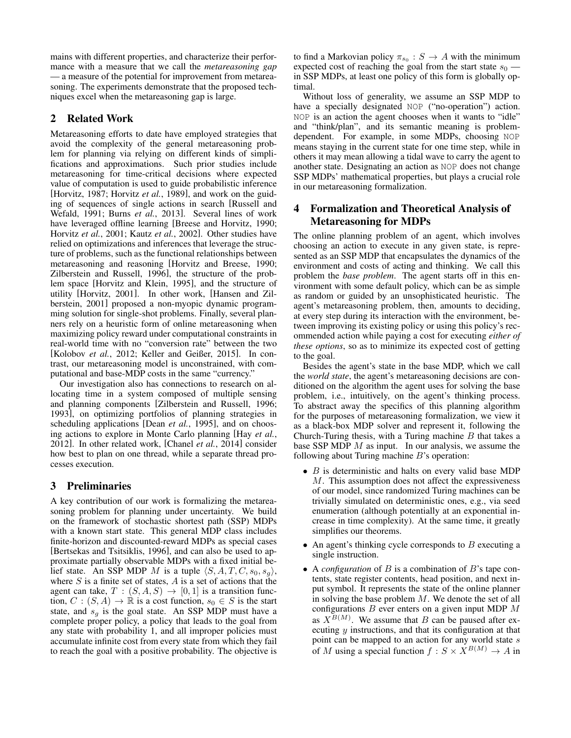mains with different properties, and characterize their performance with a measure that we call the *metareasoning gap* — a measure of the potential for improvement from metareasoning. The experiments demonstrate that the proposed techniques excel when the metareasoning gap is large.

# 2 Related Work

Metareasoning efforts to date have employed strategies that avoid the complexity of the general metareasoning problem for planning via relying on different kinds of simplifications and approximations. Such prior studies include metareasoning for time-critical decisions where expected value of computation is used to guide probabilistic inference [Horvitz, 1987; Horvitz *et al.*, 1989], and work on the guiding of sequences of single actions in search [Russell and Wefald, 1991; Burns *et al.*, 2013]. Several lines of work have leveraged offline learning [Breese and Horvitz, 1990; Horvitz *et al.*, 2001; Kautz *et al.*, 2002]. Other studies have relied on optimizations and inferences that leverage the structure of problems, such as the functional relationships between metareasoning and reasoning [Horvitz and Breese, 1990; Zilberstein and Russell, 1996], the structure of the problem space [Horvitz and Klein, 1995], and the structure of utility [Horvitz, 2001]. In other work, [Hansen and Zilberstein, 2001] proposed a non-myopic dynamic programming solution for single-shot problems. Finally, several planners rely on a heuristic form of online metareasoning when maximizing policy reward under computational constraints in real-world time with no "conversion rate" between the two [Kolobov *et al.*, 2012; Keller and Geißer, 2015]. In contrast, our metareasoning model is unconstrained, with computational and base-MDP costs in the same "currency."

Our investigation also has connections to research on allocating time in a system composed of multiple sensing and planning components [Zilberstein and Russell, 1996; 1993], on optimizing portfolios of planning strategies in scheduling applications [Dean *et al.*, 1995], and on choosing actions to explore in Monte Carlo planning [Hay *et al.*, 2012]. In other related work, [Chanel *et al.*, 2014] consider how best to plan on one thread, while a separate thread processes execution.

## 3 Preliminaries

A key contribution of our work is formalizing the metareasoning problem for planning under uncertainty. We build on the framework of stochastic shortest path (SSP) MDPs with a known start state. This general MDP class includes finite-horizon and discounted-reward MDPs as special cases [Bertsekas and Tsitsiklis, 1996], and can also be used to approximate partially observable MDPs with a fixed initial belief state. An SSP MDP M is a tuple  $\langle S, A, T, C, s_0, s_g \rangle$ , where  $S$  is a finite set of states,  $A$  is a set of actions that the agent can take,  $T : (S, A, S) \rightarrow [0, 1]$  is a transition function,  $C : (S, A) \to \mathbb{R}$  is a cost function,  $s_0 \in S$  is the start state, and  $s_q$  is the goal state. An SSP MDP must have a complete proper policy, a policy that leads to the goal from any state with probability 1, and all improper policies must accumulate infinite cost from every state from which they fail to reach the goal with a positive probability. The objective is

to find a Markovian policy  $\pi_{s_0}: S \to A$  with the minimum expected cost of reaching the goal from the start state  $s_0$  in SSP MDPs, at least one policy of this form is globally optimal.

Without loss of generality, we assume an SSP MDP to have a specially designated NOP ("no-operation") action. NOP is an action the agent chooses when it wants to "idle" and "think/plan", and its semantic meaning is problemdependent. For example, in some MDPs, choosing NOP means staying in the current state for one time step, while in others it may mean allowing a tidal wave to carry the agent to another state. Designating an action as NOP does not change SSP MDPs' mathematical properties, but plays a crucial role in our metareasoning formalization.

# 4 Formalization and Theoretical Analysis of Metareasoning for MDPs

The online planning problem of an agent, which involves choosing an action to execute in any given state, is represented as an SSP MDP that encapsulates the dynamics of the environment and costs of acting and thinking. We call this problem the *base problem*. The agent starts off in this environment with some default policy, which can be as simple as random or guided by an unsophisticated heuristic. The agent's metareasoning problem, then, amounts to deciding, at every step during its interaction with the environment, between improving its existing policy or using this policy's recommended action while paying a cost for executing *either of these options*, so as to minimize its expected cost of getting to the goal.

Besides the agent's state in the base MDP, which we call the *world state*, the agent's metareasoning decisions are conditioned on the algorithm the agent uses for solving the base problem, i.e., intuitively, on the agent's thinking process. To abstract away the specifics of this planning algorithm for the purposes of metareasoning formalization, we view it as a black-box MDP solver and represent it, following the Church-Turing thesis, with a Turing machine  $B$  that takes a base SSP MDP  $M$  as input. In our analysis, we assume the following about Turing machine  $B$ 's operation:

- $\bullet$  B is deterministic and halts on every valid base MDP M. This assumption does not affect the expressiveness of our model, since randomized Turing machines can be trivially simulated on deterministic ones, e.g., via seed enumeration (although potentially at an exponential increase in time complexity). At the same time, it greatly simplifies our theorems.
- An agent's thinking cycle corresponds to  $B$  executing a single instruction.
- A *configuration* of B is a combination of B's tape contents, state register contents, head position, and next input symbol. It represents the state of the online planner in solving the base problem  $M$ . We denote the set of all configurations  $B$  ever enters on a given input MDP  $M$ as  $X^{B(M)}$ . We assume that B can be paused after executing  $y$  instructions, and that its configuration at that point can be mapped to an action for any world state s of M using a special function  $f : S \times X^{B(M)} \to A$  in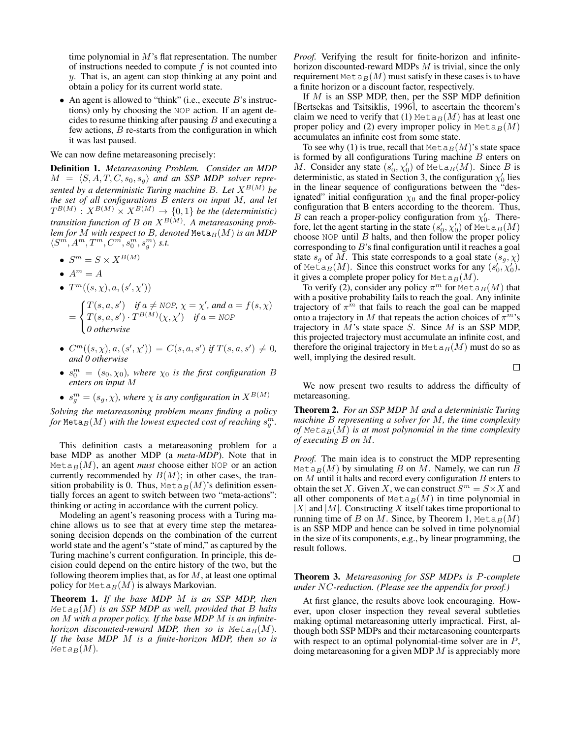time polynomial in  $M$ 's flat representation. The number of instructions needed to compute  $f$  is not counted into y. That is, an agent can stop thinking at any point and obtain a policy for its current world state.

• An agent is allowed to "think" (i.e., execute  $B$ 's instructions) only by choosing the NOP action. If an agent decides to resume thinking after pausing  $B$  and executing a few actions,  $B$  re-starts from the configuration in which it was last paused.

We can now define metareasoning precisely:

Definition 1. *Metareasoning Problem. Consider an MDP*  $M = \langle S, A, T, C, s_0, s_q \rangle$  and an SSP MDP solver repre*sented by a deterministic Turing machine B. Let*  $X^{B(M)}$  *be the set of all configurations* B *enters on input* M*, and let*  $T^{B(M)}: X^{B(M)} \times X^{B(M)} \rightarrow \{0,1\}$  be the (deterministic) *transition function of B on*  $X^{B(M)}$ . A metareasoning prob*lem for*  $\overline{M}$  *with respect to*  $\overline{B}$ *, denoted* Meta $_B(M)$  *is an MDP*  $\langle S^m, A^m, T^m, C^m, s_0^m, s_g^m \rangle$  s.t.

- $\bullet \ \ S^m = S \times X^{B(M)}$
- $A^m = A$
- $T^m((s, \chi), a, (s', \chi'))$ 
	- =  $\sqrt{ }$ J  $\mathcal{L}$  $T(s, a, s')$  *if*  $a \neq NOP$ ,  $\chi = \chi'$ , and  $a = f(s, \chi)$  $T(s, a, s') \cdot T^{B(M)}(\chi, \chi')$  *if*  $a = \text{NOP}$ *0 otherwise*
- $C^m((s, \chi), a, (s', \chi')) = C(s, a, s')$  if  $T(s, a, s') \neq 0$ , *and 0 otherwise*
- $\bullet$   $s_0^m = (s_0, \chi_0)$ , where  $\chi_0$  *is the first configuration* B *enters on input* M
- $s_g^m = (s_g, \chi)$ , where  $\chi$  is any configuration in  $X^{B(M)}$

*Solving the metareasoning problem means finding a policy* for  ${\tt Meta}_B(M)$  with the lowest expected cost of reaching  $s_g^m$ .

This definition casts a metareasoning problem for a base MDP as another MDP (a *meta-MDP*). Note that in Meta<sub>B</sub> $(M)$ , an agent *must* choose either NOP or an action currently recommended by  $B(M)$ ; in other cases, the transition probability is 0. Thus, Meta $_B(M)$ 's definition essentially forces an agent to switch between two "meta-actions": thinking or acting in accordance with the current policy.

Modeling an agent's reasoning process with a Turing machine allows us to see that at every time step the metareasoning decision depends on the combination of the current world state and the agent's "state of mind," as captured by the Turing machine's current configuration. In principle, this decision could depend on the entire history of the two, but the following theorem implies that, as for  $M$ , at least one optimal policy for  $Metap(M)$  is always Markovian.

Theorem 1. *If the base MDP* M *is an SSP MDP, then*  $Meta_B(M)$  *is an SSP MDP as well, provided that* B *halts on* M *with a proper policy. If the base MDP* M *is an infinitehorizon discounted-reward MDP, then so is Meta<sub>B</sub>(M). If the base MDP* M *is a finite-horizon MDP, then so is*  $Meta_B(M)$ .

*Proof.* Verifying the result for finite-horizon and infinitehorizon discounted-reward MDPs M is trivial, since the only requirement Meta $_B(M)$  must satisfy in these cases is to have a finite horizon or a discount factor, respectively.

If M is an SSP MDP, then, per the SSP MDP definition [Bertsekas and Tsitsiklis, 1996], to ascertain the theorem's claim we need to verify that (1) Meta $_B(M)$  has at least one proper policy and (2) every improper policy in  $M \in \text{Lap}(M)$ accumulates an infinite cost from some state.

To see why (1) is true, recall that  $M \in \text{Lap}(M)$ 's state space is formed by all configurations Turing machine  $B$  enters on M. Consider any state  $(s'_0, \chi'_0)$  of Meta $_B(M)$ . Since B is deterministic, as stated in Section 3, the configuration  $\chi'_0$  lies in the linear sequence of configurations between the "designated" initial configuration  $\chi_0$  and the final proper-policy configuration that B enters according to the theorem. Thus, B can reach a proper-policy configuration from  $\chi'_0$ . Therefore, let the agent starting in the state  $(s'_0, \chi'_0)$  of  $\text{Metag}(M)$ choose NOP until  $B$  halts, and then follow the proper policy corresponding to B's final configuration until it reaches a goal state  $s_q$  of M. This state corresponds to a goal state  $(s_q, \chi)$ of Meta<sub>B</sub> $(M)$ . Since this construct works for any  $(s'_0, \chi'_0)$ , it gives a complete proper policy for  $Metag(M)$ .

To verify (2), consider any policy  $\pi^m$  for  $\text{Met}_{B}(M)$  that with a positive probability fails to reach the goal. Any infinite trajectory of  $\pi^{\hat{m}}$  that fails to reach the goal can be mapped onto a trajectory in M that repeats the action choices of  $\pi^m$ 's trajectory in  $M$ 's state space  $S$ . Since  $M$  is an SSP MDP, this projected trajectory must accumulate an infinite cost, and therefore the original trajectory in  $Metap(M)$  must do so as well, implying the desired result.  $\Box$ 

We now present two results to address the difficulty of metareasoning.

Theorem 2. *For an SSP MDP* M *and a deterministic Turing machine* B *representing a solver for* M*, the time complexity of*  $Meta_B(M)$  *is at most polynomial in the time complexity of executing* B *on* M*.*

*Proof.* The main idea is to construct the MDP representing Meta<sub>B</sub> $(M)$  by simulating B on M. Namely, we can run B on  $M$  until it halts and record every configuration  $B$  enters to obtain the set X. Given X, we can construct  $S^m = S \times X$  and all other components of  $Meta_B(M)$  in time polynomial in  $|X|$  and  $|M|$ . Constructing X itself takes time proportional to running time of B on M. Since, by Theorem 1,  $\text{Meta}_B(M)$ is an SSP MDP and hence can be solved in time polynomial in the size of its components, e.g., by linear programming, the result follows.

 $\Box$ 

#### Theorem 3. *Metareasoning for SSP MDPs is* P*-complete under* NC*-reduction. (Please see the appendix for proof.)*

At first glance, the results above look encouraging. However, upon closer inspection they reveal several subtleties making optimal metareasoning utterly impractical. First, although both SSP MDPs and their metareasoning counterparts with respect to an optimal polynomial-time solver are in  $P$ , doing metareasoning for a given MDP M is appreciably more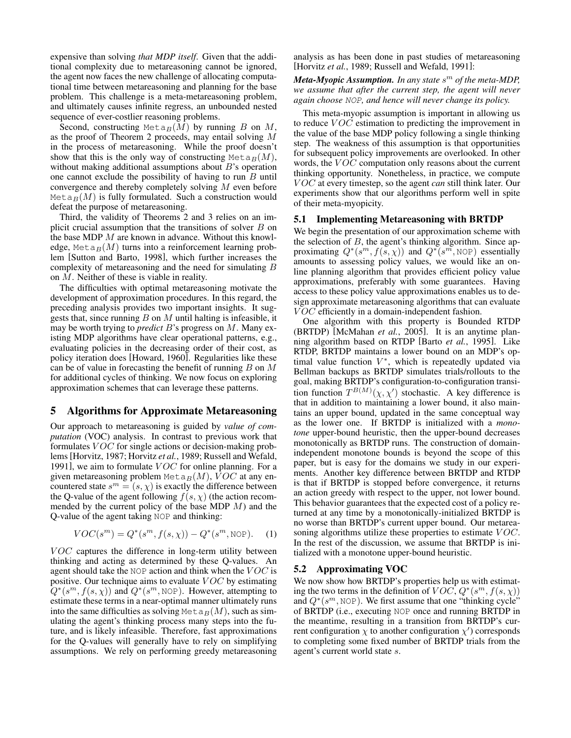expensive than solving *that MDP itself*. Given that the additional complexity due to metareasoning cannot be ignored, the agent now faces the new challenge of allocating computational time between metareasoning and planning for the base problem. This challenge is a meta-metareasoning problem, and ultimately causes infinite regress, an unbounded nested sequence of ever-costlier reasoning problems.

Second, constructing Meta $_B(M)$  by running B on M, as the proof of Theorem 2 proceeds, may entail solving M in the process of metareasoning. While the proof doesn't show that this is the only way of constructing  $\text{Meta}_B(M)$ , without making additional assumptions about  $B$ 's operation one cannot exclude the possibility of having to run  $B$  until convergence and thereby completely solving M even before Meta $_B(M)$  is fully formulated. Such a construction would defeat the purpose of metareasoning.

Third, the validity of Theorems 2 and 3 relies on an implicit crucial assumption that the transitions of solver  $B$  on the base MDP M are known in advance. Without this knowledge, Meta<sub>B</sub> $(M)$  turns into a reinforcement learning problem [Sutton and Barto, 1998], which further increases the complexity of metareasoning and the need for simulating B on M. Neither of these is viable in reality.

The difficulties with optimal metareasoning motivate the development of approximation procedures. In this regard, the preceding analysis provides two important insights. It suggests that, since running  $B$  on  $M$  until halting is infeasible, it may be worth trying to *predict* B's progress on M. Many existing MDP algorithms have clear operational patterns, e.g., evaluating policies in the decreasing order of their cost, as policy iteration does [Howard, 1960]. Regularities like these can be of value in forecasting the benefit of running  $B$  on  $M$ for additional cycles of thinking. We now focus on exploring approximation schemes that can leverage these patterns.

### 5 Algorithms for Approximate Metareasoning

Our approach to metareasoning is guided by *value of computation* (VOC) analysis. In contrast to previous work that formulates  $VOC$  for single actions or decision-making problems[Horvitz, 1987; Horvitz *et al.*, 1989; Russell and Wefald, 1991], we aim to formulate  $VOC$  for online planning. For a given metareasoning problem  $\text{Meta}_B(M)$ , VOC at any encountered state  $s^m = (s, \chi)$  is exactly the difference between the Q-value of the agent following  $f(s, \chi)$  (the action recommended by the current policy of the base MDP  $M$ ) and the Q-value of the agent taking NOP and thinking:

$$
VOC(s^m) = Q^*(s^m, f(s, \chi)) - Q^*(s^m, \text{NOP}).
$$
 (1)

 $VOC$  captures the difference in long-term utility between thinking and acting as determined by these Q-values. An agent should take the NOP action and think when the  $VOC$  is positive. Our technique aims to evaluate  $VOC$  by estimating  $Q^*(s^m, f(s, \chi))$  and  $Q^*(s^m, \text{NOP})$ . However, attempting to estimate these terms in a near-optimal manner ultimately runs into the same difficulties as solving  $\text{Met}_{B}(M)$ , such as simulating the agent's thinking process many steps into the future, and is likely infeasible. Therefore, fast approximations for the Q-values will generally have to rely on simplifying assumptions. We rely on performing greedy metareasoning analysis as has been done in past studies of metareasoning [Horvitz *et al.*, 1989; Russell and Wefald, 1991]:

*Meta-Myopic Assumption. In any state* s <sup>m</sup> *of the meta-MDP, we assume that after the current step, the agent will never again choose* NOP*, and hence will never change its policy.*

This meta-myopic assumption is important in allowing us to reduce *VOC* estimation to predicting the improvement in the value of the base MDP policy following a single thinking step. The weakness of this assumption is that opportunities for subsequent policy improvements are overlooked. In other words, the  $VOC$  computation only reasons about the current thinking opportunity. Nonetheless, in practice, we compute V OC at every timestep, so the agent *can* still think later. Our experiments show that our algorithms perform well in spite of their meta-myopicity.

#### 5.1 Implementing Metareasoning with BRTDP

We begin the presentation of our approximation scheme with the selection of  $B$ , the agent's thinking algorithm. Since approximating  $Q^*(s^m, f(s, \chi))$  and  $Q^*(s^m, \text{NOP})$  essentially amounts to assessing policy values, we would like an online planning algorithm that provides efficient policy value approximations, preferably with some guarantees. Having access to these policy value approximations enables us to design approximate metareasoning algorithms that can evaluate VOC efficiently in a domain-independent fashion.

One algorithm with this property is Bounded RTDP (BRTDP) [McMahan *et al.*, 2005]. It is an anytime planning algorithm based on RTDP [Barto *et al.*, 1995]. Like RTDP, BRTDP maintains a lower bound on an MDP's optimal value function  $V^*$ , which is repeatedly updated via Bellman backups as BRTDP simulates trials/rollouts to the goal, making BRTDP's configuration-to-configuration transition function  $T^{B(M)}(\chi, \chi')$  stochastic. A key difference is that in addition to maintaining a lower bound, it also maintains an upper bound, updated in the same conceptual way as the lower one. If BRTDP is initialized with a *monotone* upper-bound heuristic, then the upper-bound decreases monotonically as BRTDP runs. The construction of domainindependent monotone bounds is beyond the scope of this paper, but is easy for the domains we study in our experiments. Another key difference between BRTDP and RTDP is that if BRTDP is stopped before convergence, it returns an action greedy with respect to the upper, not lower bound. This behavior guarantees that the expected cost of a policy returned at any time by a monotonically-initialized BRTDP is no worse than BRTDP's current upper bound. Our metareasoning algorithms utilize these properties to estimate  $VOC$ . In the rest of the discussion, we assume that BRTDP is initialized with a monotone upper-bound heuristic.

## 5.2 Approximating VOC

We now show how BRTDP's properties help us with estimating the two terms in the definition of  $VOC$ ,  $Q^*(s^m, f(s, \chi))$ and  $Q^*(s^m, \text{NOP})$ . We first assume that one "thinking cycle" of BRTDP (i.e., executing NOP once and running BRTDP in the meantime, resulting in a transition from BRTDP's current configuration  $\chi$  to another configuration  $\chi'$ ) corresponds to completing some fixed number of BRTDP trials from the agent's current world state s.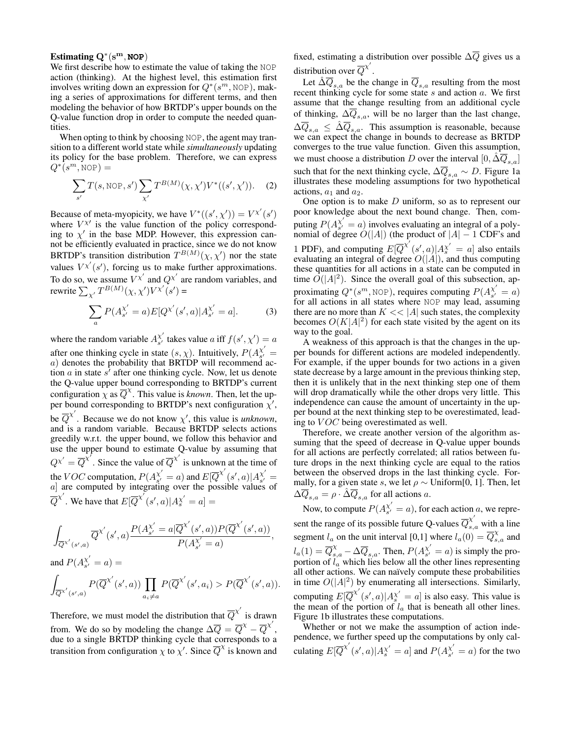## Estimating Q<sup>∗</sup> (sm, **NOP**)

We first describe how to estimate the value of taking the NOP action (thinking). At the highest level, this estimation first involves writing down an expression for  $Q^*(s^m, \text{NOP})$ , making a series of approximations for different terms, and then modeling the behavior of how BRTDP's upper bounds on the Q-value function drop in order to compute the needed quantities.

When opting to think by choosing NOP, the agent may transition to a different world state while *simultaneously* updating its policy for the base problem. Therefore, we can express  $Q^*(s^m, \text{NOP}) =$ 

$$
\sum_{s'} T(s, \text{NOP}, s') \sum_{\chi'} T^{B(M)}(\chi, \chi') V^*((s', \chi')). \tag{2}
$$

Because of meta-myopicity, we have  $V^*((s', \chi')) = V^{\chi'}(s')$ where  $V^{\chi}$  is the value function of the policy corresponding to  $\chi'$  in the base MDP. However, this expression cannot be efficiently evaluated in practice, since we do not know BRTDP's transition distribution  $T^{B(M)}(\chi, \chi')$  nor the state values  $V^{\chi'}(s')$ , forcing us to make further approximations. To do so, we assume  $V^{\chi'}$  and  $Q^{\chi'}$  are random variables, and rewrite  $\sum_{\chi'} T^{B(M)}(\chi, \chi') V^{\chi'}(s') =$ 

$$
\sum_{a} P(A_{s'}^{X'} = a) E[Q^{X'}(s', a) | A_{s'}^{X'} = a].
$$
 (3)

where the random variable  $A_{s'}^{\chi'}$  $\chi'_{s'}$  takes value a iff  $f(s', \chi') = a$ after one thinking cycle in state  $(s, \chi)$ . Intuitively,  $P(A_{s'}^{\chi'})$  $\begin{array}{c} \chi \ s' \end{array} =$  $a)$  denotes the probability that BRTDP will recommend action *a* in state  $s^7$  after one thinking cycle. Now, let us denote the Q-value upper bound corresponding to BRTDP's current configuration  $\chi$  as  $\overline{Q}^{\chi}$ . This value is *known*. Then, let the upper bound corresponding to BRTDP's next configuration  $\chi'$ , be  $\overline{Q}^{\chi'}$ . Because we do not know  $\chi'$ , this value is *unknown*, and is a random variable. Because BRTDP selects actions greedily w.r.t. the upper bound, we follow this behavior and use the upper bound to estimate Q-value by assuming that  $Q^{\chi'} = \overline{Q}^{\chi'}$ . Since the value of  $\overline{Q}^{\chi'}$  is unknown at the time of the *VOC* computation,  $P(A_{s'}^{\chi'})$  $\chi_{s'}^{'}=a)$  and  $E[\overline{Q}^{\chi'}(s',a)|A_{s'}^{\chi'}]$  $\begin{array}{c} \chi \ s' \end{array} =$  $a$ ] are computed by integrating over the possible values of  $\overline{Q}^{\chi'}$ . We have that  $E[\overline{Q}^{\chi'}(s', a)|A_s^{\chi'} = a] =$ 

$$
\begin{split} \int_{\overline{Q}^{\chi'}(s',a)} \overline{Q}^{\chi'}(s',a) \frac{P(A_{s'}^{\chi'}=a|\overline{Q}^{\chi'}(s',a))P(\overline{Q}^{\chi'}(s',a))}{P(A_{s'}^{\chi'}=a)},\\ \text{and } P(A_{s'}^{\chi'}=a)= \end{split}
$$

$$
\int_{\overline{Q}^{\chi'}(s',a)} P(\overline{Q}^{\chi'}(s',a)) \prod_{a_i \neq a} P(\overline{Q}^{\chi'}(s',a_i) > P(\overline{Q}^{\chi'}(s',a)).
$$

Therefore, we must model the distribution that  $\overline{Q}^{\chi'}$  is drawn from. We do so by modeling the change  $\Delta \overline{Q} = \overline{Q}^{\chi} - \overline{Q}^{\chi'}$ , due to a single BRTDP thinking cycle that corresponds to a transition from configuration  $\chi$  to  $\chi'$ . Since  $\overline{Q}^{\chi}$  is known and

fixed, estimating a distribution over possible  $\Delta \overline{Q}$  gives us a distribution over  $\overline{Q}^{\chi'}$ .

Let  $\Delta \overline{Q}_{s,a}$  be the change in  $\overline{Q}_{s,a}$  resulting from the most recent thinking cycle for some state s and action a. We first assume that the change resulting from an additional cycle of thinking,  $\Delta \overline{Q}_{s,a}$ , will be no larger than the last change,  $\Delta \overline{Q}_{s,a} \leq \hat{\Delta} \overline{Q}_{s,a}$ . This assumption is reasonable, because we can expect the change in bounds to decrease as BRTDP converges to the true value function. Given this assumption, we must choose a distribution D over the interval  $[0, \Delta \overline{Q}_{s,a}]$ such that for the next thinking cycle,  $\Delta \overline{Q}_{s,a} \sim D$ . Figure 1a illustrates these modeling assumptions for two hypothetical actions,  $a_1$  and  $a_2$ .

One option is to make  $D$  uniform, so as to represent our poor knowledge about the next bound change. Then, computing  $P(A_{s'}^{\chi'})$  $\chi$  = a) involves evaluating an integral of a polynomial of degree  $O(|A|)$  (the product of  $|A| - 1$  CDF's and 1 PDF), and computing  $E[\overline{Q}^{X'}(s', a)|A_s^{X'} = a]$  also entails evaluating an integral of degree  $O(|A|)$ , and thus computing these quantities for all actions in a state can be computed in time  $\tilde{O}(|A|^2)$ . Since the overall goal of this subsection, approximating  $Q^*(s^m, \text{NOP})$ , requires computing  $P(A_{s'}^{\chi'})$  $\begin{array}{c} \chi \ s' = a) \end{array}$ for all actions in all states where NOP may lead, assuming there are no more than  $K \ll |A|$  such states, the complexity becomes  $O(K|A|^2)$  for each state visited by the agent on its way to the goal.

A weakness of this approach is that the changes in the upper bounds for different actions are modeled independently. For example, if the upper bounds for two actions in a given state decrease by a large amount in the previous thinking step, then it is unlikely that in the next thinking step one of them will drop dramatically while the other drops very little. This independence can cause the amount of uncertainty in the upper bound at the next thinking step to be overestimated, leading to  $VOC$  being overestimated as well.

Therefore, we create another version of the algorithm assuming that the speed of decrease in Q-value upper bounds for all actions are perfectly correlated; all ratios between future drops in the next thinking cycle are equal to the ratios between the observed drops in the last thinking cycle. Formally, for a given state s, we let  $\rho \sim$  Uniform[0, 1]. Then, let  $\Delta \overline{Q}_{s,a} = \rho \cdot \hat{\Delta} \overline{Q}_{s,a}$  for all actions a.

Now, to compute  $P(A_{s'}^{\chi'})$  $\chi^{\chi}_{s'} = a$ , for each action a, we represent the range of its possible future Q-values  $\overline{Q}_{s,a}^{\chi'}$  with a line segment  $l_a$  on the unit interval [0,1] where  $l_a(0) = \overline{Q}_{s,a}^{\chi}$  and  $l_a(1) = \overline{Q}_{s,a}^{\chi} - \Delta \overline{Q}_{s,a}$ . Then,  $P(A_{s'}^{\chi'})$  $\chi_{s'}^{\chi} = a$ ) is simply the proportion of  $l_a$  which lies below all the other lines representing all other actions. We can naïvely compute these probabilities in time  $O(|A|^2)$  by enumerating all intersections. Similarly, computing  $E[\overline{Q}^{X'}(s', a)|A_s^{X'} = a]$  is also easy. This value is the mean of the portion of  $l_a$  that is beneath all other lines. Figure 1b illustrates these computations.

Whether or not we make the assumption of action independence, we further speed up the computations by only calculating  $E[\overline{Q}^{X'}(s', a)|A_{s'}^{X'} = a]$  and  $P(A_{s'}^{X'}$  $\chi_{s'}^{\chi} = a$ ) for the two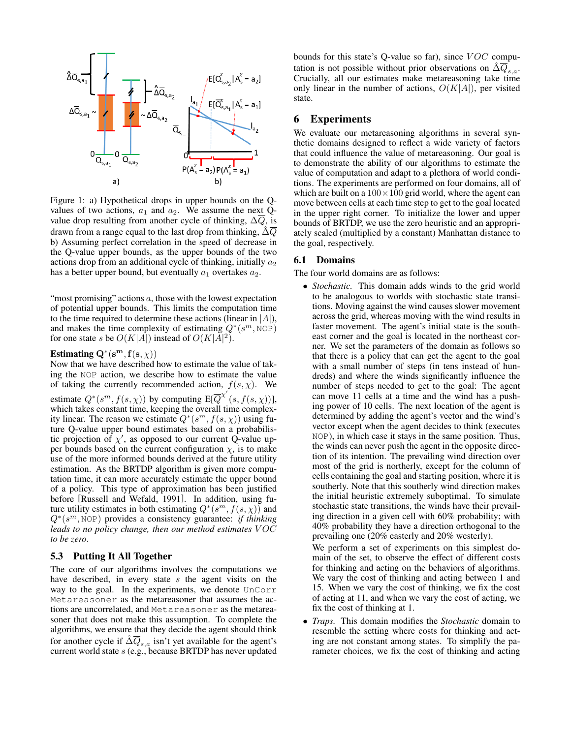

Figure 1: a) Hypothetical drops in upper bounds on the Qvalues of two actions,  $a_1$  and  $a_2$ . We assume the next Qvalue drop resulting from another cycle of thinking,  $\Delta Q$ , is drawn from a range equal to the last drop from thinking,  $\hat{\Delta}\overline{Q}$ b) Assuming perfect correlation in the speed of decrease in the Q-value upper bounds, as the upper bounds of the two actions drop from an additional cycle of thinking, initially  $a_2$ has a better upper bound, but eventually  $a_1$  overtakes  $a_2$ .

"most promising" actions  $a$ , those with the lowest expectation of potential upper bounds. This limits the computation time to the time required to determine these actions (linear in  $|A|$ ), and makes the time complexity of estimating  $Q^*(s^m, \text{NOP})$ for one state s be  $O(K|A|)$  instead of  $O(K|A|^2)$ .

## Estimating  $\mathbf{Q}^*(\mathbf{s}^{\mathbf{m}}, \mathbf{f}(\mathbf{s}, \chi))$

Now that we have described how to estimate the value of taking the NOP action, we describe how to estimate the value of taking the currently recommended action,  $f(s, \chi)$ . We estimate  $Q^*(s^m, f(s, \chi))$  by computing  $E[\overline{Q}^{\chi'}(s, f(s, \chi))],$ which takes constant time, keeping the overall time complexity linear. The reason we estimate  $Q^*(s^m, f(s, \chi))$  using future Q-value upper bound estimates based on a probabilistic projection of  $\chi'$ , as opposed to our current Q-value upper bounds based on the current configuration  $\chi$ , is to make use of the more informed bounds derived at the future utility estimation. As the BRTDP algorithm is given more computation time, it can more accurately estimate the upper bound of a policy. This type of approximation has been justified before [Russell and Wefald, 1991]. In addition, using future utility estimates in both estimating  $Q^*(s^m, f(s, \chi))$  and Q<sup>∗</sup> (s <sup>m</sup>, NOP) provides a consistency guarantee: *if thinking leads to no policy change, then our method estimates* V OC *to be zero*.

#### 5.3 Putting It All Together

The core of our algorithms involves the computations we have described, in every state  $s$  the agent visits on the way to the goal. In the experiments, we denote UnCorr Metareasoner as the metareasoner that assumes the actions are uncorrelated, and Metareasoner as the metareasoner that does not make this assumption. To complete the algorithms, we ensure that they decide the agent should think for another cycle if  $\Delta \overline{Q}_{s,a}$  isn't yet available for the agent's current world state s (e.g., because BRTDP has never updated bounds for this state's Q-value so far), since  $VOC$  computation is not possible without prior observations on  $\overline{\Delta Q}_{s,a}$ . Crucially, all our estimates make metareasoning take time only linear in the number of actions,  $O(K|A|)$ , per visited state.

### 6 Experiments

We evaluate our metareasoning algorithms in several synthetic domains designed to reflect a wide variety of factors that could influence the value of metareasoning. Our goal is to demonstrate the ability of our algorithms to estimate the value of computation and adapt to a plethora of world conditions. The experiments are performed on four domains, all of which are built on a  $100 \times 100$  grid world, where the agent can move between cells at each time step to get to the goal located in the upper right corner. To initialize the lower and upper bounds of BRTDP, we use the zero heuristic and an appropriately scaled (multiplied by a constant) Manhattan distance to the goal, respectively.

### 6.1 Domains

The four world domains are as follows:

• *Stochastic.* This domain adds winds to the grid world to be analogous to worlds with stochastic state transitions. Moving against the wind causes slower movement across the grid, whereas moving with the wind results in faster movement. The agent's initial state is the southeast corner and the goal is located in the northeast corner. We set the parameters of the domain as follows so that there is a policy that can get the agent to the goal with a small number of steps (in tens instead of hundreds) and where the winds significantly influence the number of steps needed to get to the goal: The agent can move 11 cells at a time and the wind has a pushing power of 10 cells. The next location of the agent is determined by adding the agent's vector and the wind's vector except when the agent decides to think (executes NOP), in which case it stays in the same position. Thus, the winds can never push the agent in the opposite direction of its intention. The prevailing wind direction over most of the grid is northerly, except for the column of cells containing the goal and starting position, where it is southerly. Note that this southerly wind direction makes the initial heuristic extremely suboptimal. To simulate stochastic state transitions, the winds have their prevailing direction in a given cell with 60% probability; with 40% probability they have a direction orthogonal to the prevailing one (20% easterly and 20% westerly).

We perform a set of experiments on this simplest domain of the set, to observe the effect of different costs for thinking and acting on the behaviors of algorithms. We vary the cost of thinking and acting between 1 and 15. When we vary the cost of thinking, we fix the cost of acting at 11, and when we vary the cost of acting, we fix the cost of thinking at 1.

• *Traps.* This domain modifies the *Stochastic* domain to resemble the setting where costs for thinking and acting are not constant among states. To simplify the parameter choices, we fix the cost of thinking and acting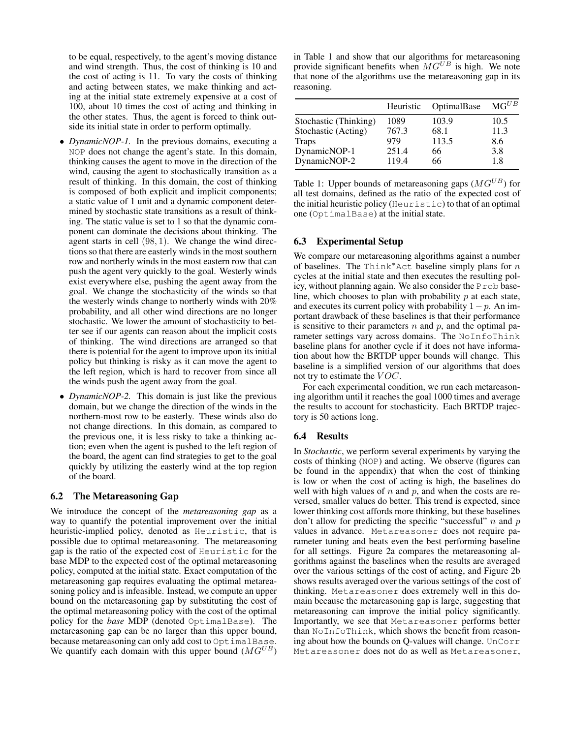to be equal, respectively, to the agent's moving distance and wind strength. Thus, the cost of thinking is 10 and the cost of acting is 11. To vary the costs of thinking and acting between states, we make thinking and acting at the initial state extremely expensive at a cost of 100, about 10 times the cost of acting and thinking in the other states. Thus, the agent is forced to think outside its initial state in order to perform optimally.

- *DynamicNOP-1.* In the previous domains, executing a NOP does not change the agent's state. In this domain, thinking causes the agent to move in the direction of the wind, causing the agent to stochastically transition as a result of thinking. In this domain, the cost of thinking is composed of both explicit and implicit components; a static value of 1 unit and a dynamic component determined by stochastic state transitions as a result of thinking. The static value is set to 1 so that the dynamic component can dominate the decisions about thinking. The agent starts in cell (98, 1). We change the wind directions so that there are easterly winds in the most southern row and northerly winds in the most eastern row that can push the agent very quickly to the goal. Westerly winds exist everywhere else, pushing the agent away from the goal. We change the stochasticity of the winds so that the westerly winds change to northerly winds with 20% probability, and all other wind directions are no longer stochastic. We lower the amount of stochasticity to better see if our agents can reason about the implicit costs of thinking. The wind directions are arranged so that there is potential for the agent to improve upon its initial policy but thinking is risky as it can move the agent to the left region, which is hard to recover from since all the winds push the agent away from the goal.
- *DynamicNOP-2*. This domain is just like the previous domain, but we change the direction of the winds in the northern-most row to be easterly. These winds also do not change directions. In this domain, as compared to the previous one, it is less risky to take a thinking action; even when the agent is pushed to the left region of the board, the agent can find strategies to get to the goal quickly by utilizing the easterly wind at the top region of the board.

### 6.2 The Metareasoning Gap

We introduce the concept of the *metareasoning gap* as a way to quantify the potential improvement over the initial heuristic-implied policy, denoted as Heuristic, that is possible due to optimal metareasoning. The metareasoning gap is the ratio of the expected cost of Heuristic for the base MDP to the expected cost of the optimal metareasoning policy, computed at the initial state. Exact computation of the metareasoning gap requires evaluating the optimal metareasoning policy and is infeasible. Instead, we compute an upper bound on the metareasoning gap by substituting the cost of the optimal metareasoning policy with the cost of the optimal policy for the *base* MDP (denoted OptimalBase). The metareasoning gap can be no larger than this upper bound, because metareasoning can only add cost to OptimalBase. We quantify each domain with this upper bound  $(MG^{UB})$ 

in Table 1 and show that our algorithms for metareasoning provide significant benefits when  $MG^{UB}$  is high. We note that none of the algorithms use the metareasoning gap in its reasoning.

|                       | Heuristic | <b>OptimalBase</b> | $MG^{UB}$ |
|-----------------------|-----------|--------------------|-----------|
| Stochastic (Thinking) | 1089      | 103.9              | 10.5      |
| Stochastic (Acting)   | 767.3     | 68.1               | 11.3      |
| <b>Traps</b>          | 979       | 113.5              | 8.6       |
| DynamicNOP-1          | 251.4     | 66                 | 3.8       |
| DynamicNOP-2          | 119.4     | 66                 | 18        |

Table 1: Upper bounds of metareasoning gaps  $(MG^{UB})$  for all test domains, defined as the ratio of the expected cost of the initial heuristic policy (Heuristic) to that of an optimal one (OptimalBase) at the initial state.

#### 6.3 Experimental Setup

We compare our metareasoning algorithms against a number of baselines. The Think\*Act baseline simply plans for  $n$ cycles at the initial state and then executes the resulting policy, without planning again. We also consider the Prob baseline, which chooses to plan with probability  $p$  at each state, and executes its current policy with probability  $1-p$ . An important drawback of these baselines is that their performance is sensitive to their parameters  $n$  and  $p$ , and the optimal parameter settings vary across domains. The NoInfoThink baseline plans for another cycle if it does not have information about how the BRTDP upper bounds will change. This baseline is a simplified version of our algorithms that does not try to estimate the  $VOC$ .

For each experimental condition, we run each metareasoning algorithm until it reaches the goal 1000 times and average the results to account for stochasticity. Each BRTDP trajectory is 50 actions long.

#### 6.4 Results

In *Stochastic*, we perform several experiments by varying the costs of thinking (NOP) and acting. We observe (figures can be found in the appendix) that when the cost of thinking is low or when the cost of acting is high, the baselines do well with high values of  $n$  and  $p$ , and when the costs are reversed, smaller values do better. This trend is expected, since lower thinking cost affords more thinking, but these baselines don't allow for predicting the specific "successful"  $n$  and  $p$ values in advance. Metareasoner does not require parameter tuning and beats even the best performing baseline for all settings. Figure 2a compares the metareasoning algorithms against the baselines when the results are averaged over the various settings of the cost of acting, and Figure 2b shows results averaged over the various settings of the cost of thinking. Metareasoner does extremely well in this domain because the metareasoning gap is large, suggesting that metareasoning can improve the initial policy significantly. Importantly, we see that Metareasoner performs better than NoInfoThink, which shows the benefit from reasoning about how the bounds on Q-values will change. UnCorr Metareasoner does not do as well as Metareasoner,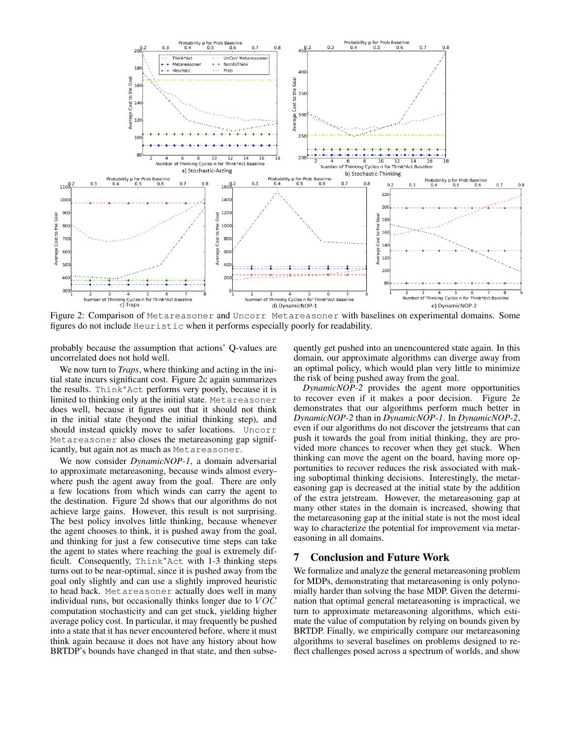

Figure 2: Comparison of Metareasoner and Uncorr Metareasoner with baselines on experimental domains. Some figures do not include Heuristic when it performs especially poorly for readability.

probably because the assumption that actions' Q-values are uncorrelated does not hold well.

We now turn to *Traps*, where thinking and acting in the initial state incurs significant cost. Figure 2c again summarizes the results. Think<sup>∗</sup>Act performs very poorly, because it is limited to thinking only at the initial state. Metareasoner does well, because it figures out that it should not think in the initial state (beyond the initial thinking step), and should instead quickly move to safer locations. Uncorr Metareasoner also closes the metareasoning gap significantly, but again not as much as Metareasoner.

We now consider *DynamicNOP-1*, a domain adversarial to approximate metareasoning, because winds almost everywhere push the agent away from the goal. There are only a few locations from which winds can carry the agent to the destination. Figure 2d shows that our algorithms do not achieve large gains. However, this result is not surprising. The best policy involves little thinking, because whenever the agent chooses to think, it is pushed away from the goal, and thinking for just a few consecutive time steps can take the agent to states where reaching the goal is extremely difficult. Consequently, Think<sup>\*</sup>Act with 1-3 thinking steps turns out to be near-optimal, since it is pushed away from the goal only slightly and can use a slightly improved heuristic to head back. Metareasoner actually does well in many individual runs, but occasionally thinks longer due to  $VOC$ computation stochasticity and can get stuck, yielding higher average policy cost. In particular, it may frequently be pushed into a state that it has never encountered before, where it must think again because it does not have any history about how BRTDP's bounds have changed in that state, and then subsequently get pushed into an unencountered state again. In this domain, our approximate algorithms can diverge away from an optimal policy, which would plan very little to minimize the risk of being pushed away from the goal.

*DynamicNOP-2* provides the agent more opportunities to recover even if it makes a poor decision. Figure 2e demonstrates that our algorithms perform much better in *DynamicNOP-2* than in *DynamicNOP-1*. In *DynamicNOP-2*, even if our algorithms do not discover the jetstreams that can push it towards the goal from initial thinking, they are provided more chances to recover when they get stuck. When thinking can move the agent on the board, having more opportunities to recover reduces the risk associated with making suboptimal thinking decisions. Interestingly, the metareasoning gap is decreased at the initial state by the addition of the extra jetstream. However, the metareasoning gap at many other states in the domain is increased, showing that the metareasoning gap at the initial state is not the most ideal way to characterize the potential for improvement via metareasoning in all domains.

### 7 Conclusion and Future Work

We formalize and analyze the general metareasoning problem for MDPs, demonstrating that metareasoning is only polynomially harder than solving the base MDP. Given the determination that optimal general metareasoning is impractical, we turn to approximate metareasoning algorithms, which estimate the value of computation by relying on bounds given by BRTDP. Finally, we empirically compare our metareasoning algorithms to several baselines on problems designed to reflect challenges posed across a spectrum of worlds, and show